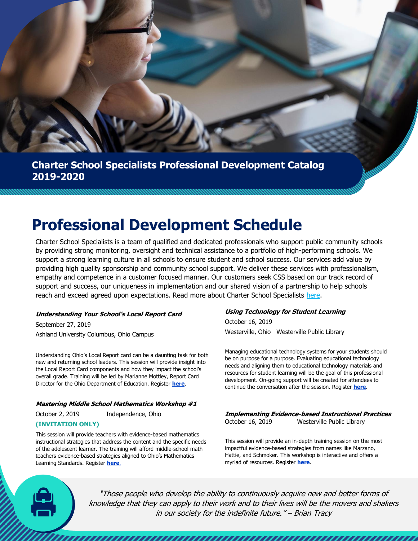# **Charter School Specialists Professional Development Catalog 2019-2020**

# **Professional Development Schedule**

Charter School Specialists is a team of qualified and dedicated professionals who support public community schools by providing strong monitoring, oversight and technical assistance to a portfolio of high-performing schools. We support a strong learning culture in all schools to ensure student and school success. Our services add value by providing high quality sponsorship and community school support. We deliver these services with professionalism, empathy and competence in a customer focused manner. Our customers seek CSS based on our track record of support and success, our uniqueness in implementation and our shared vision of a partnership to help schools reach and exceed agreed upon expectations. Read more about Charter School Specialists [here.](https://charterschoolspec.org/)

# **Understanding Your School's Local Report Card**

September 27, 2019 Ashland University Columbus, Ohio Campus

Understanding Ohio's Local Report card can be a daunting task for both new and returning school leaders. This session will provide insight into the Local Report Card components and how they impact the school's overall grade. Training will be led by Marianne Mottley, Report Card Director for the Ohio Department of Education. Register **[here](https://docs.google.com/forms/d/e/1FAIpQLSfv0BToIEfnKJBP2vw3DgQCPlRXOPlEUQkS0dDrkz38fFMdBA/viewform?usp=sf_link)**.

# **Mastering Middle School Mathematics Workshop #1**

October 2, 2019 Independence, Ohio

# **(INVITATION ONLY)**

This session will provide teachers with evidence-based mathematics instructional strategies that address the content and the specific needs of the adolescent learner. The training will afford middle-school math teachers evidence-based strategies aligned to Ohio's Mathematics Learning Standards. Register **[here](https://docs.google.com/forms/d/e/1FAIpQLSeOr_V2SYKEPBqVFOKibXPHMvWHxqBiKv3hcwbruUmfegKwyQ/viewform?usp=sf_link)**.

# **Using Technology for Student Learning**  October 16, 2019

Westerville, Ohio Westerville Public Library

Managing educational technology systems for your students should be on purpose for a purpose. Evaluating educational technology needs and aligning them to educational technology materials and resources for student learning will be the goal of this professional development. On-going support will be created for attendees to continue the conversation after the session. Register **[here](https://docs.google.com/forms/d/e/1FAIpQLSecTJ_wwAzDVVnSFrwSbZEflsHgVxY1fJuc5g1zVAgTMxX1hA/viewform?usp=sf_link)**.

**Implementing Evidence-based Instructional Practices**  October 16, 2019 Westerville Public Library

This session will provide an in-depth training session on the most impactful evidence-based strategies from names like Marzano, Hattie, and Schmoker. This workshop is interactive and offers a myriad of resources. Register **[here](https://docs.google.com/forms/d/e/1FAIpQLSecTJ_wwAzDVVnSFrwSbZEflsHgVxY1fJuc5g1zVAgTMxX1hA/viewform?usp=sf_link)**.

"Those people who develop the ability to continuously acquire new and better forms of knowledge that they can apply to their work and to their lives will be the movers and shakers in our society for the indefinite future." – Brian Tracy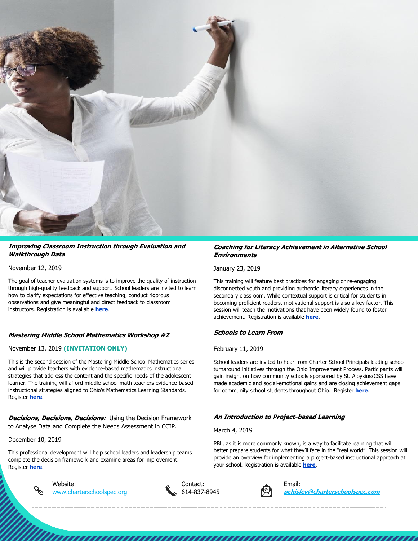

#### **Improving Classroom Instruction through Evaluation and Walkthrough Data**

November 12, 2019

The goal of teacher evaluation systems is to improve the quality of instruction through high-quality feedback and support. School leaders are invited to learn how to clarify expectations for effective teaching, conduct rigorous observations and give meaningful and direct feedback to classroom instructors. Registration is available **[here](https://docs.google.com/forms/d/e/1FAIpQLSejFwT9cVsFbAZpawaVGjGbVkVLvD9r3GfwWxcpBgMFx9E5qg/viewform?usp=sf_link)**.

# **Mastering Middle School Mathematics Workshop #2**

# November 13, 2019 **(INVITATION ONLY)**

This is the second session of the Mastering Middle School Mathematics series and will provide teachers with evidence-based mathematics instructional strategies that address the content and the specific needs of the adolescent learner. The training will afford middle-school math teachers evidence-based instructional strategies aligned to Ohio's Mathematics Learning Standards. Register **[here](https://docs.google.com/forms/d/e/1FAIpQLSfw6gnwXJJUjyWOrtVn5PS4hwHctXnAkAIGub5_gOWR9QbY6g/viewform?usp=sf_link)**.

**Decisions, Decisions, Decisions:** Using the Decision Framework to Analyse Data and Complete the Needs Assessment in CCIP.

December 10, 2019

This professional development will help school leaders and leadership teams complete the decision framework and examine areas for improvement. Register **[here](https://docs.google.com/forms/d/e/1FAIpQLSdZQoLP4SxlXmnte1OGuv__59y3FuWtzZ4HZnujIdqIGnJ9Rw/viewform?usp=sf_link)**.



Website: Contact: Email:





[www.charterschoolspec.org](http://www.charterschoolspec.org/) 614-837-8945 **[pchisley@charterschoolspec.com](mailto:pchisley@charterschoolspec.com)**

#### **Coaching for Literacy Achievement in Alternative School Environments**

January 23, 2019

This training will feature best practices for engaging or re-engaging disconnected youth and providing authentic literacy experiences in the secondary classroom. While contextual support is critical for students in becoming proficient readers, motivational support is also a key factor. This session will teach the motivations that have been widely found to foster achievement. Registration is available **[here](https://docs.google.com/forms/d/e/1FAIpQLSc7TCPSGQFxFKXYrqyQmoUHY64qzs59_N7lUGEEpbnarEyqNw/viewform?usp=sf_link)**.

# **Schools to Learn From**

# February 11, 2019

School leaders are invited to hear from Charter School Principals leading school turnaround initiatives through the Ohio Improvement Process. Participants will gain insight on how community schools sponsored by St. Aloysius/CSS have made academic and social-emotional gains and are closing achievement gaps for community school students throughout Ohio. Register **[here](https://docs.google.com/forms/d/e/1FAIpQLSft6mTjhikZtOrvGWo9f2kHdIFdl5cGaZAz5MV2lSstQAtH0Q/viewform?usp=sf_link)**.

# **An Introduction to Project-based Learning**

March 4, 2019

PBL, as it is more commonly known, is a way to facilitate learning that will better prepare students for what they'll face in the "real world". This session will provide an overview for implementing a project-based instructional approach at your school. Registration is available **[here](https://docs.google.com/forms/d/e/1FAIpQLSfa0tpF0C7Y2YbpWKA5JRthQ1V2hP3SKWQ4RnvAAjEe45J7CA/viewform?usp=sf_link)**.